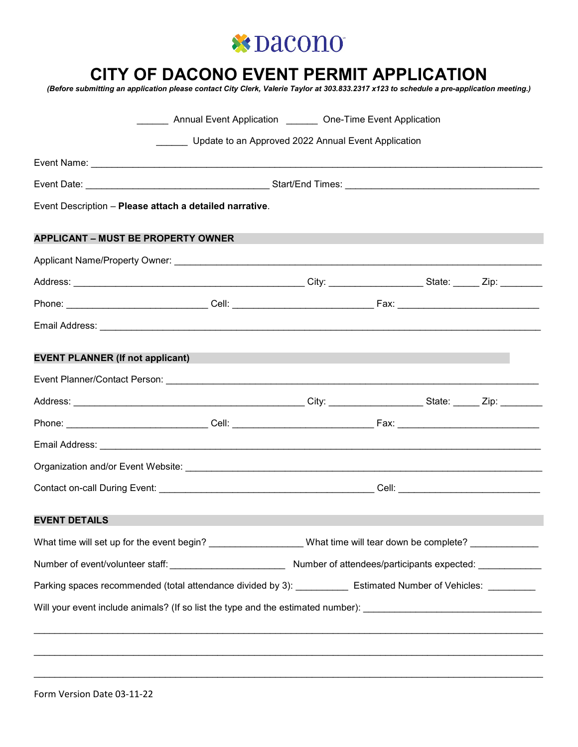

# **CITY OF DACONO EVENT PERMIT APPLICATION**

*(Before submitting an application please contact City Clerk, Valerie Taylor at 303.833.2317 x123 to schedule a pre-application meeting.)*

|                                                         |                                                                                                                  |  | Annual Event Application <b>Constant Constant Application</b> Cone-Time Event Application |                |  |
|---------------------------------------------------------|------------------------------------------------------------------------------------------------------------------|--|-------------------------------------------------------------------------------------------|----------------|--|
|                                                         | Update to an Approved 2022 Annual Event Application                                                              |  |                                                                                           |                |  |
|                                                         |                                                                                                                  |  |                                                                                           |                |  |
|                                                         |                                                                                                                  |  |                                                                                           |                |  |
| Event Description - Please attach a detailed narrative. |                                                                                                                  |  |                                                                                           |                |  |
| <b>APPLICANT - MUST BE PROPERTY OWNER</b>               |                                                                                                                  |  |                                                                                           |                |  |
|                                                         |                                                                                                                  |  |                                                                                           |                |  |
|                                                         |                                                                                                                  |  |                                                                                           |                |  |
|                                                         |                                                                                                                  |  |                                                                                           |                |  |
|                                                         |                                                                                                                  |  |                                                                                           |                |  |
| <b>EVENT PLANNER (If not applicant)</b>                 |                                                                                                                  |  |                                                                                           |                |  |
|                                                         |                                                                                                                  |  |                                                                                           |                |  |
|                                                         |                                                                                                                  |  |                                                                                           |                |  |
|                                                         |                                                                                                                  |  |                                                                                           |                |  |
|                                                         |                                                                                                                  |  |                                                                                           |                |  |
|                                                         |                                                                                                                  |  |                                                                                           |                |  |
|                                                         |                                                                                                                  |  |                                                                                           |                |  |
| <b>EVENT DETAILS</b>                                    |                                                                                                                  |  |                                                                                           | an Santa Barat |  |
|                                                         | What time will set up for the event begin? __________________What time will tear down be complete? ____________  |  |                                                                                           |                |  |
|                                                         |                                                                                                                  |  |                                                                                           |                |  |
|                                                         | Parking spaces recommended (total attendance divided by 3): ____________ Estimated Number of Vehicles: _________ |  |                                                                                           |                |  |
|                                                         |                                                                                                                  |  |                                                                                           |                |  |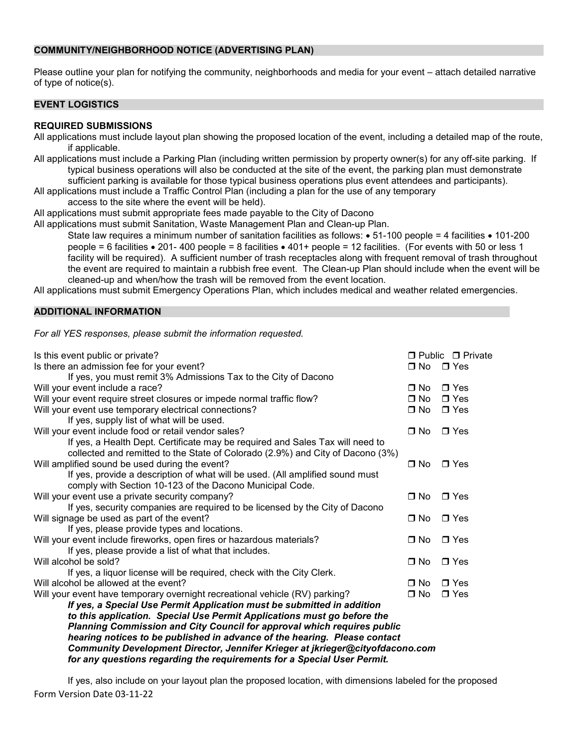#### **COMMUNITY/NEIGHBORHOOD NOTICE (ADVERTISING PLAN)**

Please outline your plan for notifying the community, neighborhoods and media for your event – attach detailed narrative of type of notice(s).

## **EVENT LOGISTICS**

## **REQUIRED SUBMISSIONS**

All applications must include layout plan showing the proposed location of the event, including a detailed map of the route, if applicable.

- All applications must include a Parking Plan (including written permission by property owner(s) for any off-site parking. If typical business operations will also be conducted at the site of the event, the parking plan must demonstrate
	- sufficient parking is available for those typical business operations plus event attendees and participants).
- All applications must include a Traffic Control Plan (including a plan for the use of any temporary
	- access to the site where the event will be held).
- All applications must submit appropriate fees made payable to the City of Dacono

All applications must submit Sanitation, Waste Management Plan and Clean-up Plan.

State law requires a minimum number of sanitation facilities as follows: • 51-100 people = 4 facilities • 101-200 people = 6 facilities • 201- 400 people = 8 facilities • 401+ people = 12 facilities. (For events with 50 or less 1 facility will be required). A sufficient number of trash receptacles along with frequent removal of trash throughout the event are required to maintain a rubbish free event. The Clean-up Plan should include when the event will be cleaned-up and when/how the trash will be removed from the event location.

All applications must submit Emergency Operations Plan, which includes medical and weather related emergencies.

## **ADDITIONAL INFORMATION**

*For all YES responses, please submit the information requested.*

| Is this event public or private?                                                                                                                         |              | □ Public □ Private |
|----------------------------------------------------------------------------------------------------------------------------------------------------------|--------------|--------------------|
| Is there an admission fee for your event?                                                                                                                | $\Box$ No    | $\Box$ Yes         |
| If yes, you must remit 3% Admissions Tax to the City of Dacono                                                                                           |              |                    |
| Will your event include a race?                                                                                                                          | $\Box$ No    | $\blacksquare$ Yes |
| Will your event require street closures or impede normal traffic flow?                                                                                   | $\Box$ No    | $\Box$ Yes         |
| Will your event use temporary electrical connections?                                                                                                    | $\Box$ No    | $\Box$ Yes         |
| If yes, supply list of what will be used.                                                                                                                |              |                    |
| Will your event include food or retail vendor sales?                                                                                                     | ⊟ No         | $\blacksquare$ Yes |
| If yes, a Health Dept. Certificate may be required and Sales Tax will need to                                                                            |              |                    |
| collected and remitted to the State of Colorado (2.9%) and City of Dacono (3%)                                                                           |              |                    |
| Will amplified sound be used during the event?                                                                                                           | $\Box$ No    | $\Box$ Yes         |
| If yes, provide a description of what will be used. (All amplified sound must                                                                            |              |                    |
| comply with Section 10-123 of the Dacono Municipal Code.                                                                                                 |              |                    |
| Will your event use a private security company?                                                                                                          | $\square$ No | $\Box$ Yes         |
| If yes, security companies are required to be licensed by the City of Dacono                                                                             |              |                    |
| Will signage be used as part of the event?                                                                                                               | $\Box$ No    | $\blacksquare$ Yes |
| If yes, please provide types and locations.                                                                                                              |              |                    |
| Will your event include fireworks, open fires or hazardous materials?                                                                                    | $\Box$ No    | $\Box$ Yes         |
| If yes, please provide a list of what that includes.                                                                                                     |              |                    |
| Will alcohol be sold?                                                                                                                                    | $\Box$ No    | $\blacksquare$ Yes |
| If yes, a liquor license will be required, check with the City Clerk.                                                                                    |              |                    |
| Will alcohol be allowed at the event?                                                                                                                    | $\Box$ No    | $\blacksquare$ Yes |
| Will your event have temporary overnight recreational vehicle (RV) parking?                                                                              | $\Box$ No    | $\Box$ Yes         |
| If yes, a Special Use Permit Application must be submitted in addition                                                                                   |              |                    |
| to this application. Special Use Permit Applications must go before the                                                                                  |              |                    |
| Planning Commission and City Council for approval which requires public                                                                                  |              |                    |
| hearing notices to be published in advance of the hearing. Please contact                                                                                |              |                    |
| Community Development Director, Jennifer Krieger at jkrieger@cityofdacono.com<br>for any questions regarding the requirements for a Special User Permit. |              |                    |
|                                                                                                                                                          |              |                    |

Form Version Date 03-11-22 If yes, also include on your layout plan the proposed location, with dimensions labeled for the proposed